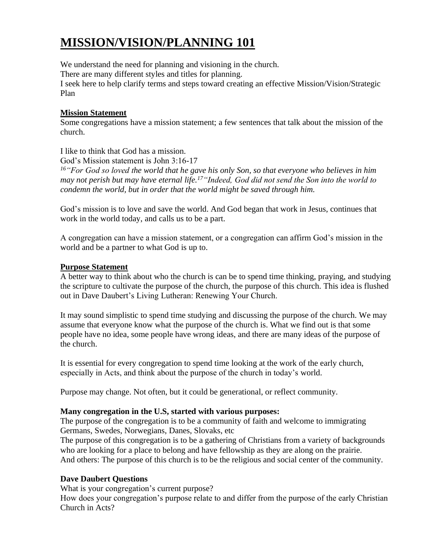# **MISSION/VISION/PLANNING 101**

We understand the need for planning and visioning in the church.

There are many different styles and titles for planning.

I seek here to help clarify terms and steps toward creating an effective Mission/Vision/Strategic Plan

#### **Mission Statement**

Some congregations have a mission statement; a few sentences that talk about the mission of the church.

I like to think that God has a mission.

God's Mission statement is John 3:16-17

*<sup>16</sup>"For God so loved the world that he gave his only Son, so that everyone who believes in him may not perish but may have eternal life.<sup>17</sup>"Indeed, God did not send the Son into the world to condemn the world, but in order that the world might be saved through him.* 

God's mission is to love and save the world. And God began that work in Jesus, continues that work in the world today, and calls us to be a part.

A congregation can have a mission statement, or a congregation can affirm God's mission in the world and be a partner to what God is up to.

### **Purpose Statement**

A better way to think about who the church is can be to spend time thinking, praying, and studying the scripture to cultivate the purpose of the church, the purpose of this church. This idea is flushed out in Dave Daubert's Living Lutheran: Renewing Your Church.

It may sound simplistic to spend time studying and discussing the purpose of the church. We may assume that everyone know what the purpose of the church is. What we find out is that some people have no idea, some people have wrong ideas, and there are many ideas of the purpose of the church.

It is essential for every congregation to spend time looking at the work of the early church, especially in Acts, and think about the purpose of the church in today's world.

Purpose may change. Not often, but it could be generational, or reflect community.

#### **Many congregation in the U.S, started with various purposes:**

The purpose of the congregation is to be a community of faith and welcome to immigrating Germans, Swedes, Norwegians, Danes, Slovaks, etc

The purpose of this congregation is to be a gathering of Christians from a variety of backgrounds who are looking for a place to belong and have fellowship as they are along on the prairie. And others: The purpose of this church is to be the religious and social center of the community.

## **Dave Daubert Questions**

What is your congregation's current purpose?

How does your congregation's purpose relate to and differ from the purpose of the early Christian Church in Acts?